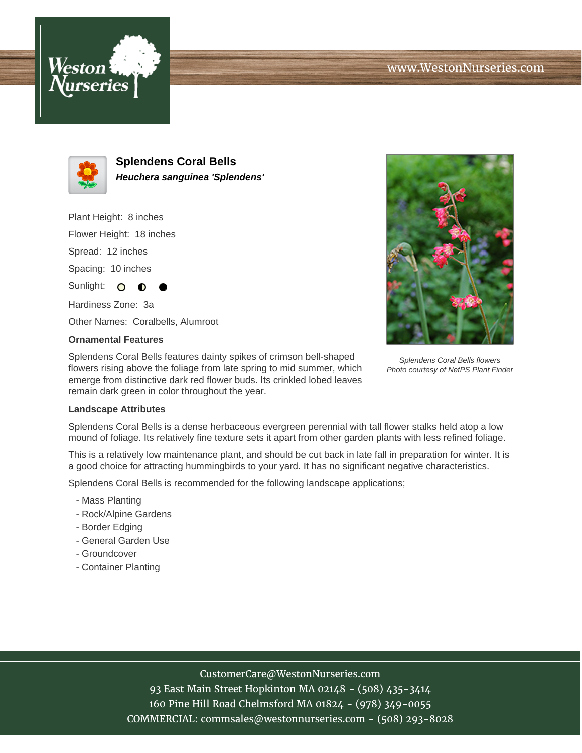



**Splendens Coral Bells Heuchera sanguinea 'Splendens'**

Plant Height: 8 inches

Flower Height: 18 inches

Spread: 12 inches

Spacing: 10 inches

Sunlight: O

Hardiness Zone: 3a

Other Names: Coralbells, Alumroot

## **Ornamental Features**

Splendens Coral Bells features dainty spikes of crimson bell-shaped flowers rising above the foliage from late spring to mid summer, which emerge from distinctive dark red flower buds. Its crinkled lobed leaves remain dark green in color throughout the year.



Splendens Coral Bells flowers Photo courtesy of NetPS Plant Finder

## **Landscape Attributes**

Splendens Coral Bells is a dense herbaceous evergreen perennial with tall flower stalks held atop a low mound of foliage. Its relatively fine texture sets it apart from other garden plants with less refined foliage.

This is a relatively low maintenance plant, and should be cut back in late fall in preparation for winter. It is a good choice for attracting hummingbirds to your yard. It has no significant negative characteristics.

Splendens Coral Bells is recommended for the following landscape applications;

- Mass Planting
- Rock/Alpine Gardens
- Border Edging
- General Garden Use
- Groundcover
- Container Planting

## CustomerCare@WestonNurseries.com

93 East Main Street Hopkinton MA 02148 - (508) 435-3414 160 Pine Hill Road Chelmsford MA 01824 - (978) 349-0055 COMMERCIAL: commsales@westonnurseries.com - (508) 293-8028